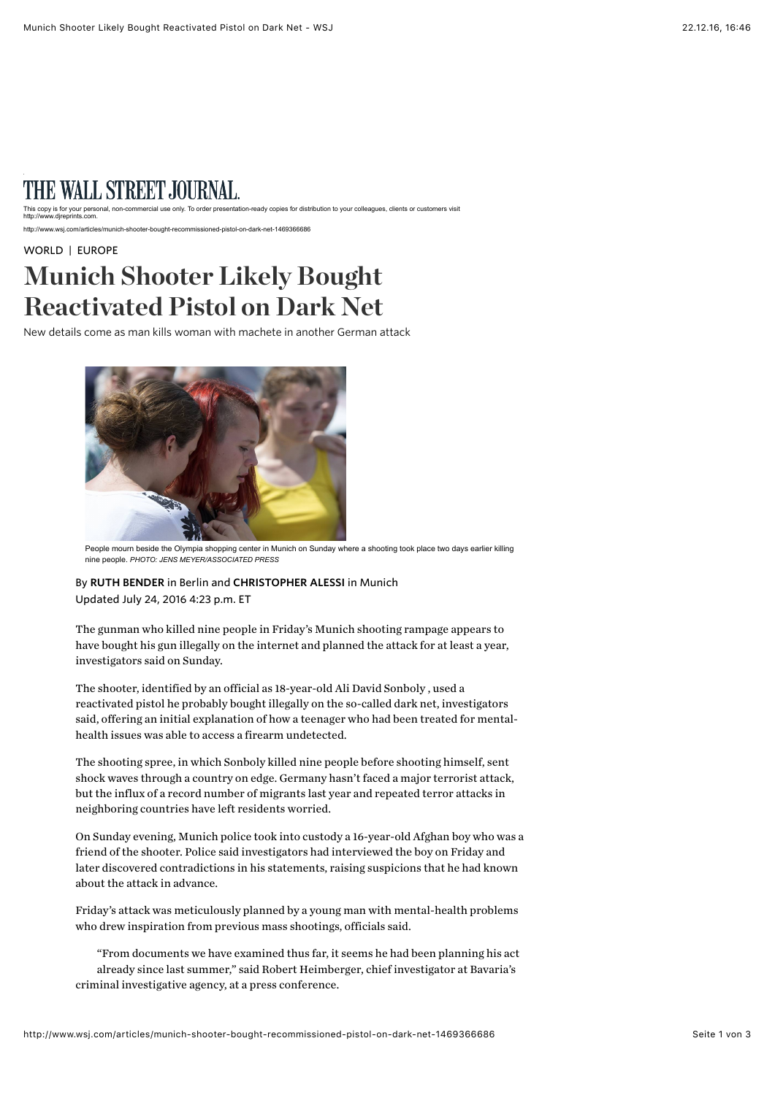## IE WALL STREET JOURNAL

This copy is for your personal, non-commercial use only. To order presentation-ready copies for distribution to your colleagues, clients or customers visit http://www.djreprints.com.

http://www.wsj.com/articles/munich-shooter-bought-recommissioned-pistol-on-dark-net-1469366686

[WORLD](http://www.wsj.com/news/world) | [EUROPE](http://www.wsj.com/news/world/europe)

## Munich Shooter Likely Bought Reactivated Pistol on Dark Net

New details come as man kills woman with machete in another German attack



People mourn beside the Olympia shopping center in Munich on Sunday where a shooting took place two days earlier killing nine people. *PHOTO: JENS MEYER/ASSOCIATED PRESS*

By RUTH BENDER in Berlin and CHRISTOPHER ALESSI in Munich

Updated July 24, 2016 4:23 p.m. ET

The gunman who killed nine people in Friday's [Munich shooting rampage](http://www.wsj.com/articles/following-the-munich-gunmans-trail-1469319787) appears to have bought his gun illegally on the internet and planned the attack for at least a year, investigators said on Sunday.

The shooter, [identified by an official as 18-year-old Ali David Sonboly](http://www.wsj.com/articles/munich-gunman-had-apparent-interest-in-mass-shootings-seemingly-no-ties-with-isis-says-police-chief-1469270148) , used a reactivated pistol he probably bought illegally on the so-called dark net, investigators said, offering an initial explanation of how a teenager who had been treated for mentalhealth issues was able to access a firearm undetected.

The shooting spree, in which Sonboly killed nine people before shooting himself, sent shock waves through a country on edge. Germany hasn't faced a major terrorist attack, but the influx of a record number of migrants last year and repeated terror attacks in neighboring countries have left residents worried.

On Sunday evening, Munich police took into custody a 16-year-old Afghan boy who was a friend of the shooter. Police said investigators had interviewed the boy on Friday and later discovered contradictions in his statements, raising suspicions that he had known about the attack in advance.

Friday's attack was meticulously planned by a young man with mental-health problems who drew inspiration from previous mass shootings, officials said.

"From documents we have examined thus far, it seems he had been planning his act already since last summer," said Robert Heimberger, chief investigator at Bavaria's criminal investigative agency, at a press conference.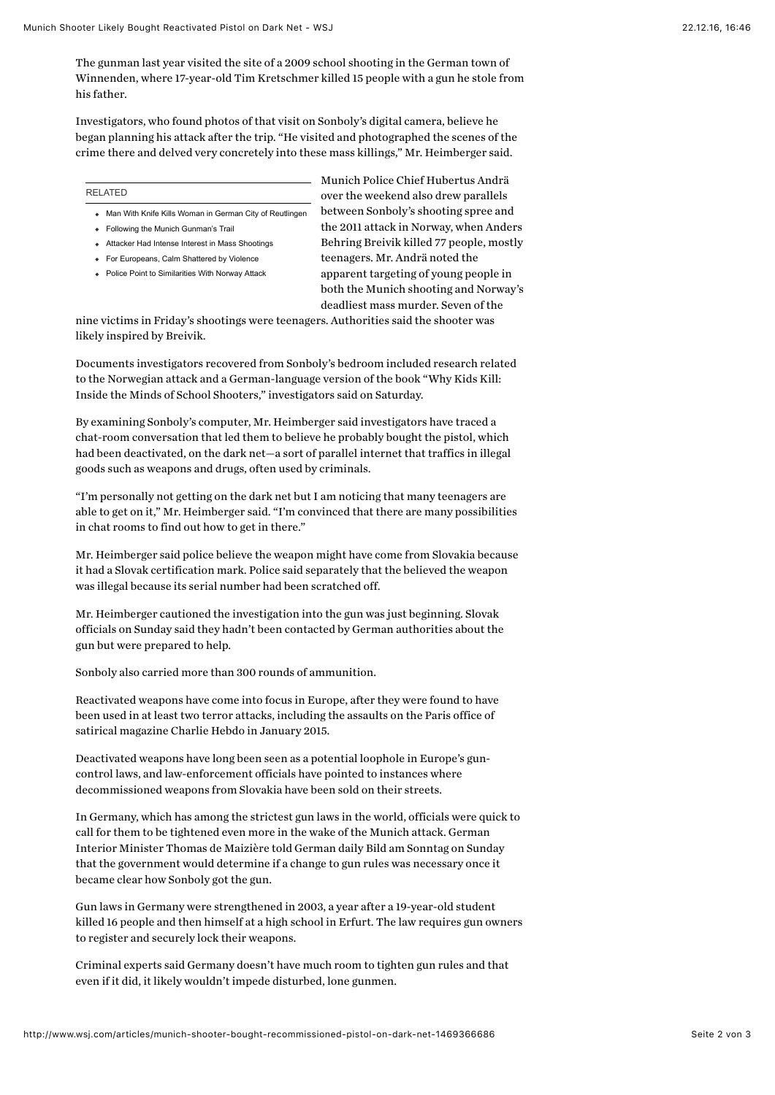The gunman last year visited the site of a [2009 school shooting](http://www.wsj.com/articles/SB123680024809099043) in the German town of Winnenden, where 17-year-old Tim Kretschmer killed 15 people with a gun he stole from his father.

Investigators, who found photos of that visit on Sonboly's digital camera, believe he began planning his attack after the trip. "He visited and photographed the scenes of the crime there and delved very concretely into these mass killings," Mr. Heimberger said.

## RELATED

- [Man With Knife Kills Woman in German City of Reutlingen](http://www.wsj.com/articles/man-kills-woman-with-machete-in-german-city-of-reutlingen-1469379071)
- [Following the Munich Gunman's Trail](http://www.wsj.com/articles/following-the-munich-gunmans-trail-1469319787)
- [Attacker Had Intense Interest in Mass Shootings](http://www.wsj.com/articles/munich-gunman-had-apparent-interest-in-mass-shootings-seemingly-no-ties-with-isis-says-police-chief-1469270148)
- [For Europeans, Calm Shattered by Violence](http://www.wsj.com/articles/europeans-question-if-terrorism-is-becoming-a-fact-of-life-1469282722?tesla=y)
- [Police Point to Similarities With Norway Attack](http://www.wsj.com/articles/munich-police-link-shooting-to-anniversary-of-norway-attack-1469309815?tesla=y)

Munich Police Chief Hubertus Andrä over the weekend also drew parallels between Sonboly's shooting spree and the 2011 attack in Norway, when Anders Behring Breivik killed 77 people, mostly teenagers. Mr. Andrä noted the apparent targeting of young people in both the Munich shooting and Norway's deadliest mass murder. Seven of the

nine victims in Friday's shootings were teenagers. Authorities said the shooter was likely inspired by Breivik.

Documents investigators recovered from Sonboly's bedroom included research related to the Norwegian attack and a German-language version of the book "Why Kids Kill: Inside the Minds of School Shooters," investigators said on Saturday.

By examining Sonboly's computer, Mr. Heimberger said investigators have traced a chat-room conversation that led them to believe he probably bought the pistol, which had been deactivated, on the dark net—a sort of parallel internet that traffics in illegal goods such as weapons and drugs, often used by criminals.

"I'm personally not getting on the dark net but I am noticing that many teenagers are able to get on it," Mr. Heimberger said. "I'm convinced that there are many possibilities in chat rooms to find out how to get in there."

Mr. Heimberger said police believe the weapon might have come from Slovakia because it had a Slovak certification mark. Police said separately that the believed the weapon was illegal because its serial number had been scratched off.

Mr. Heimberger cautioned the investigation into the gun was just beginning. Slovak officials on Sunday said they hadn't been contacted by German authorities about the gun but were prepared to help.

Sonboly also carried more than 300 rounds of ammunition.

[Reactivated weapons have come into focus](http://www.wsj.com/articles/slovakia-shop-believed-to-be-source-of-guns-in-two-french-terror-attacks-1448629216) in Europe, after they were found to have been used in at least two terror attacks, including the assaults on the Paris office of satirical magazine Charlie Hebdo in January 2015.

Deactivated weapons have long been seen as a potential loophole in Europe's guncontrol laws, and law-enforcement officials have pointed to instances where decommissioned weapons from Slovakia have been sold on their streets.

In Germany, which has among the strictest gun laws in the world, officials were quick to call for them to be tightened even more in the wake of the Munich attack. German Interior Minister Thomas de Maizière told German daily Bild am Sonntag on Sunday that the government would determine if a change to gun rules was necessary once it became clear how Sonboly got the gun.

Gun laws in Germany were strengthened in 2003, a year after a 19-year-old student killed 16 people and then himself at a high school in Erfurt. The law requires gun owners to register and securely lock their weapons.

Criminal experts said Germany doesn't have much room to tighten gun rules and that even if it did, it likely wouldn't impede disturbed, lone gunmen.